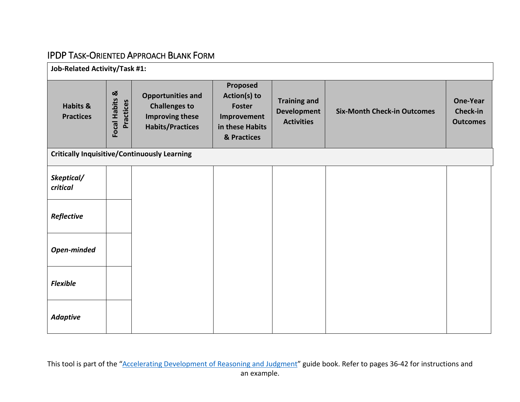## IPDP TASK-ORIENTED APPROACH BLANK FORM

| Job-Related Activity/Task #1:           |                             |                                                                                                       |                                                                                            |                                                                |                                    |                                                |  |
|-----------------------------------------|-----------------------------|-------------------------------------------------------------------------------------------------------|--------------------------------------------------------------------------------------------|----------------------------------------------------------------|------------------------------------|------------------------------------------------|--|
| <b>Habits &amp;</b><br><b>Practices</b> | Focal Habits &<br>Practices | <b>Opportunities and</b><br><b>Challenges to</b><br><b>Improving these</b><br><b>Habits/Practices</b> | Proposed<br>Action(s) to<br><b>Foster</b><br>Improvement<br>in these Habits<br>& Practices | <b>Training and</b><br><b>Development</b><br><b>Activities</b> | <b>Six-Month Check-in Outcomes</b> | <b>One-Year</b><br>Check-in<br><b>Outcomes</b> |  |
|                                         |                             | <b>Critically Inquisitive/Continuously Learning</b>                                                   |                                                                                            |                                                                |                                    |                                                |  |
| Skeptical/<br>critical                  |                             |                                                                                                       |                                                                                            |                                                                |                                    |                                                |  |
| Reflective                              |                             |                                                                                                       |                                                                                            |                                                                |                                    |                                                |  |
| Open-minded                             |                             |                                                                                                       |                                                                                            |                                                                |                                    |                                                |  |
| <b>Flexible</b>                         |                             |                                                                                                       |                                                                                            |                                                                |                                    |                                                |  |
| <b>Adaptive</b>                         |                             |                                                                                                       |                                                                                            |                                                                |                                    |                                                |  |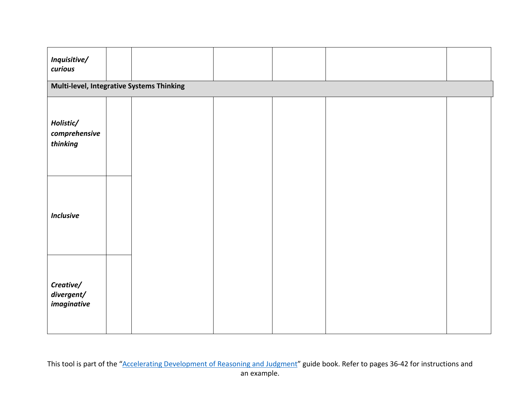| Inquisitive/<br>curious                |                                           |  |  |  |  |  |  |  |  |
|----------------------------------------|-------------------------------------------|--|--|--|--|--|--|--|--|
|                                        | Multi-level, Integrative Systems Thinking |  |  |  |  |  |  |  |  |
| Holistic/<br>comprehensive<br>thinking |                                           |  |  |  |  |  |  |  |  |
| <b>Inclusive</b>                       |                                           |  |  |  |  |  |  |  |  |
| Creative/<br>divergent/<br>imaginative |                                           |  |  |  |  |  |  |  |  |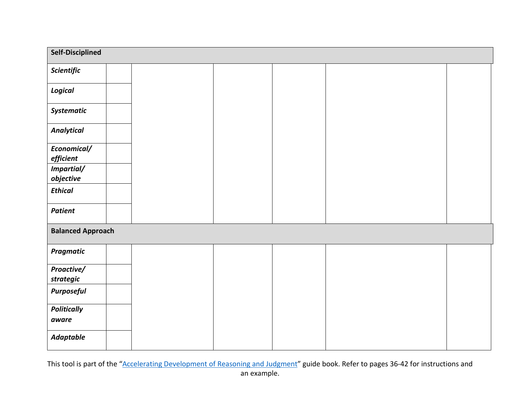| Self-Disciplined            |  |  |  |  |  |
|-----------------------------|--|--|--|--|--|
| Scientific                  |  |  |  |  |  |
| Logical                     |  |  |  |  |  |
| Systematic                  |  |  |  |  |  |
| <b>Analytical</b>           |  |  |  |  |  |
| Economical/<br>efficient    |  |  |  |  |  |
| Impartial/<br>objective     |  |  |  |  |  |
| <b>Ethical</b>              |  |  |  |  |  |
| <b>Patient</b>              |  |  |  |  |  |
| <b>Balanced Approach</b>    |  |  |  |  |  |
| <b>Pragmatic</b>            |  |  |  |  |  |
| Proactive/<br>strategic     |  |  |  |  |  |
| <b>Purposeful</b>           |  |  |  |  |  |
| <b>Politically</b><br>aware |  |  |  |  |  |
| <b>Adaptable</b>            |  |  |  |  |  |

This tool is part of the ["Accelerating Development of Reasoning and Judgment"](https://www.fishwildlife.org/download_file/view/2972/3039) guide book. Refer to pages 36-42 for instructions and an example.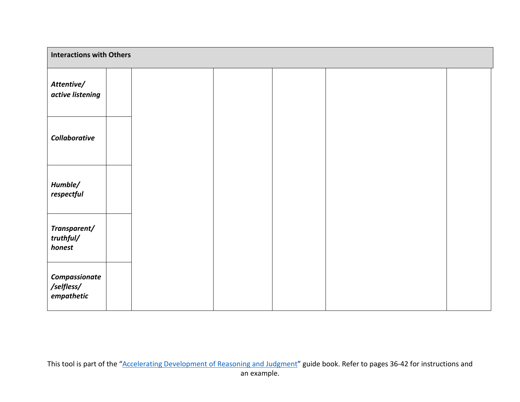| <b>Interactions with Others</b>           |  |  |  |  |  |  |
|-------------------------------------------|--|--|--|--|--|--|
| Attentive/<br>active listening            |  |  |  |  |  |  |
| Collaborative                             |  |  |  |  |  |  |
| Humble/<br>respectful                     |  |  |  |  |  |  |
| Transparent/<br>truthful/<br>honest       |  |  |  |  |  |  |
| Compassionate<br>/selfless/<br>empathetic |  |  |  |  |  |  |

This tool is part of the ["Accelerating Development of Reasoning and Judgment"](https://www.fishwildlife.org/download_file/view/2972/3039) guide book. Refer to pages 36-42 for instructions and an example.